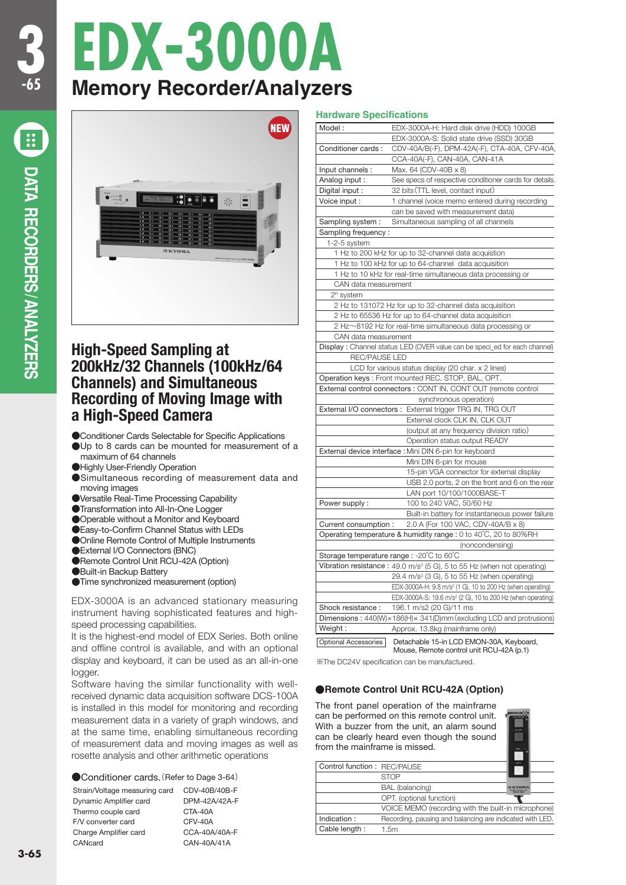**ANALYZERS** /

# **EDX-3000A Memory Recorder/Analyzers**



# **High-Speed Sampling at 200kHz/32 Channels (100kHz/64 Channels) and Simultaneous Recording of Moving Image with a High-Speed Camera**

- ●Conditioner Cards Selectable for Specific Applications
- ●Up to 8 cards can be mounted for measurement of a maximum of 64 channels
- **•Highly User-Friendly Operation**
- ●Simultaneous recording of measurement data and moving images
- ●Versatile Real-Time Processing Capability
- ●Transformation into All-In-One Logger
- ●Operable without a Monitor and Keyboard
- ●Easy-to-Confirm Channel Status with LEDs
- ●Online Remote Control of Multiple Instruments
- **External I/O Connectors (BNC)**
- ●Remote Control Unit RCU-42A (Option)
- ●Built-in Backup Battery
- ●Time synchronized measurement (option)

EDX-3000A is an advanced stationary measuring instrument having sophisticated features and highspeed processing capabilities.

It is the highest-end model of EDX Series. Both online and offline control is available, and with an optional display and keyboard, it can be used as an all-in-one logger.

Software having the similar functionality with wellreceived dynamic data acquisition software DCS-100A is installed in this model for monitoring and recording measurement data in a variety of graph windows, and at the same time, enabling simultaneous recording of measurement data and moving images as well as rosette analysis and other arithmetic operations

### ●Conditioner cards.(Refer to Dage 3-64)

Strain/Voltage measuring card CDV-40B/40B-F Dynamic Amplifier card DPM-42A/42A-F Thermo couple card CTA-40A F/V converter card CFV-40A Charge Amplifier card CCA-40A/40A-F CANcard CAN-40A/41A

#### **Hardware Specifications**

| Model:               | EDX-3000A-H: Hard disk drive (HDD) 100GB                                                |
|----------------------|-----------------------------------------------------------------------------------------|
|                      | EDX-3000A-S: Solid state drive (SSD) 30GB                                               |
| Conditioner cards:   | CDV-40A/B(-F), DPM-42A(-F), CTA-40A, CFV-40A,                                           |
|                      | CCA-40A(-F), CAN-40A, CAN-41A                                                           |
| Input channels :     | Max. 64 (CDV-40B x 8)                                                                   |
| Analog input:        | See specs of respective conditioner cards for details.                                  |
| Digital input :      | 32 bits (TTL level, contact input)                                                      |
| Voice input :        | 1 channel (voice memo entered during recording                                          |
|                      | can be saved with measurement data)                                                     |
| Sampling system:     | Simultaneous sampling of all channels                                                   |
| Sampling frequency:  |                                                                                         |
| 1-2-5 system         |                                                                                         |
|                      | 1 Hz to 200 kHz for up to 32-channel data acquistion                                    |
|                      | 1 Hz to 100 kHz for up to 64-channel data acquisition                                   |
|                      | 1 Hz to 10 kHz for real-time simultaneous data processing or                            |
| CAN data measurement |                                                                                         |
| $2n$ system          |                                                                                         |
|                      | 2 Hz to 131072 Hz for up to 32-channel data acquisition                                 |
|                      | 2 Hz to 65536 Hz for up to 64-channel data acquisition                                  |
|                      | 2 Hz~8192 Hz for real-time simultaneous data processing or                              |
| CAN data measurement |                                                                                         |
|                      | Display: Channel status LED (OVER value can be speci_ed for each channel)               |
| <b>REC/PAUSE LED</b> |                                                                                         |
|                      | LCD for various status display (20 char. x 2 lines)                                     |
|                      | Operation keys: Front mounted REC, STOP, BAL, OPT.                                      |
|                      | External control connectors : CONT IN, CONT OUT (remote control                         |
|                      | synchronous operation)                                                                  |
|                      | External I/O connectors : External trigger TRG IN, TRG OUT                              |
|                      | External clock CLK IN, CLK OUT                                                          |
|                      | (output at any frequency division ratio)                                                |
|                      | Operation status output READY                                                           |
|                      | External device interface : Mini DIN 6-pin for keyboard                                 |
|                      | Mini DIN 6-pin for mouse                                                                |
|                      | 15-pin VGA connector for external display                                               |
|                      | USB 2.0 ports, 2 on the front and 6 on the rear                                         |
|                      | LAN port 10/100/1000BASE-T                                                              |
| Power supply:        | 100 to 240 VAC, 50/60 Hz                                                                |
|                      | Built-in battery for instantaneous power failure                                        |
| Current consumption: | 2.0 A (For 100 VAC, CDV-40A/B x 8)                                                      |
|                      | Operating temperature & humidity range : 0 to 40°C, 20 to 80%RH                         |
|                      | (noncondensing)                                                                         |
|                      | Storage temperature range : -20°C to 60°C                                               |
|                      | Vibration resistance: 49.0 m/s <sup>2</sup> (5 G), 5 to 55 Hz (when not operating)      |
|                      | 29.4 m/s <sup>2</sup> (3 G), 5 to 55 Hz (when operating)                                |
|                      | EDX-3000A-H: 9.8 m/s <sup>2</sup> (1 G), 10 to 200 Hz (when operating)                  |
|                      | EDX-3000A-S: 19.6 m/s <sup>2</sup> (2 G), 10 to 200 Hz (when operating)                 |
| Shock resistance :   | 196.1 m/s2 (20 G)/11 ms                                                                 |
|                      | Dimensions: $440(W) \times 186(H) \times 341(D)$ mm (excluding LCD and protrusions)     |
| Weight :             | Approx. 13.8kg (mainframe only)                                                         |
|                      |                                                                                         |
| Optional Accessories | Detachable 15-in LCD EMON-30A, Keyboard,<br>Mouse, Remote control unit RCI I-42A (n.1). |

※The DC24V specification can be manufactured.

## ●**Remote Control Unit RCU-42A (Option)**

The front panel operation of the mainframe can be performed on this remote control unit. With a buzzer from the unit, an alarm sound can be clearly heard even though the sound from the mainframe is missed.

| Control function: REC/PAUSE |                                                          | OPT.           |
|-----------------------------|----------------------------------------------------------|----------------|
|                             | <b>STOP</b>                                              |                |
|                             | BAL (balancing)                                          | <b>RCU-42A</b> |
|                             | OPT. (optional function)                                 |                |
|                             | VOICE MEMO (recording with the built-in microphone)      |                |
| Indication:                 | Recording, pausing and balancing are indicated with LED. |                |
| Cable length:               | 1.5m                                                     |                |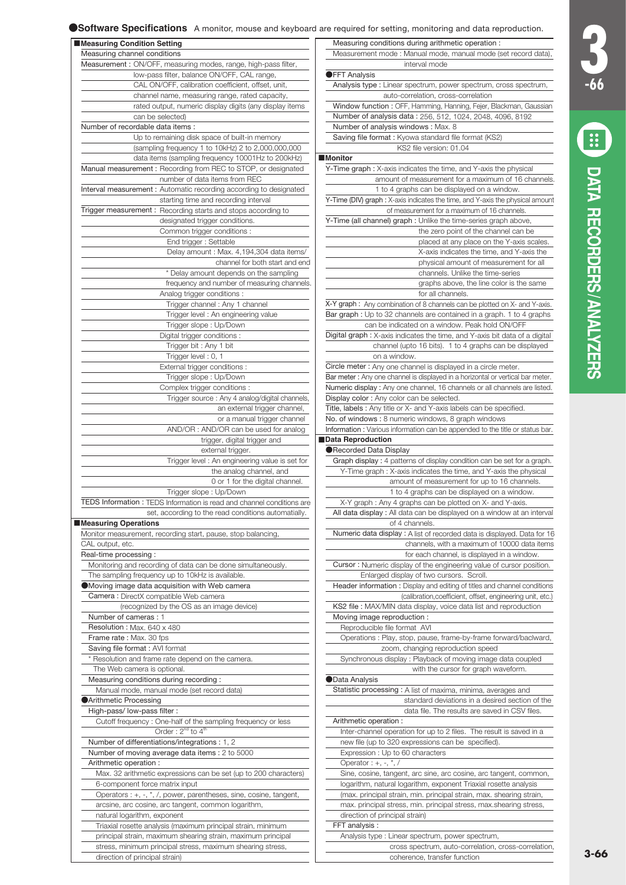| Measuring Condition Setting                                                                               | Measuring conditions during arithmetic operation :                                                                                       |
|-----------------------------------------------------------------------------------------------------------|------------------------------------------------------------------------------------------------------------------------------------------|
| Measuring channel conditions                                                                              | Measurement mode : Manual mode, manual mode (set record data),                                                                           |
| Measurement: ON/OFF, measuring modes, range, high-pass filter,                                            | interval mode                                                                                                                            |
| low-pass filter, balance ON/OFF, CAL range,                                                               | ●FFT Analysis                                                                                                                            |
| CAL ON/OFF, calibration coefficient, offset, unit,                                                        |                                                                                                                                          |
|                                                                                                           | Analysis type: Linear spectrum, power spectrum, cross spectrum,                                                                          |
| channel name, measuring range, rated capacity,                                                            | auto-correlation, cross-correlation                                                                                                      |
| rated output, numeric display digits (any display items                                                   | Window function: OFF, Hamming, Hanning, Fejer, Blackman, Gaussian                                                                        |
| can be selected)                                                                                          | Number of analysis data: 256, 512, 1024, 2048, 4096, 8192                                                                                |
| Number of recordable data items :                                                                         | Number of analysis windows: Max. 8                                                                                                       |
| Up to remaining disk space of built-in memory                                                             | Saving file format : Kyowa standard file format (KS2)                                                                                    |
| (sampling frequency 1 to 10kHz) 2 to 2,000,000,000                                                        | KS2 file version: 01.04                                                                                                                  |
| data items (sampling frequency 10001Hz to 200kHz)                                                         | <b>Monitor</b>                                                                                                                           |
| Manual measurement: Recording from REC to STOP, or designated<br>number of data items from REC            | Y-Time graph: X-axis indicates the time, and Y-axis the physical<br>amount of measurement for a maximum of 16 channels.                  |
| Interval measurement: Automatic recording according to designated<br>starting time and recording interval | 1 to 4 graphs can be displayed on a window.<br>Y-Time (DIV) graph : X-axis indicates the time, and Y-axis the physical amount            |
| Trigger measurement: Recording starts and stops according to                                              | of measurement for a maximum of 16 channels.                                                                                             |
|                                                                                                           |                                                                                                                                          |
| designated trigger conditions.                                                                            | Y-Time (all channel) graph : Unlike the time-series graph above,                                                                         |
| Common trigger conditions:                                                                                | the zero point of the channel can be                                                                                                     |
| End trigger: Settable                                                                                     | placed at any place on the Y-axis scales.                                                                                                |
| Delay amount : Max. 4,194,304 data items/                                                                 | X-axis indicates the time, and Y-axis the                                                                                                |
| channel for both start and end                                                                            | physical amount of measurement for all                                                                                                   |
| * Delay amount depends on the sampling                                                                    | channels. Unlike the time-series                                                                                                         |
| frequency and number of measuring channels.                                                               | graphs above, the line color is the same                                                                                                 |
| Analog trigger conditions:                                                                                | for all channels.                                                                                                                        |
| Trigger channel: Any 1 channel                                                                            | X-Y graph: Any combination of 8 channels can be plotted on X- and Y-axis.                                                                |
|                                                                                                           |                                                                                                                                          |
| Trigger level: An engineering value                                                                       | Bar graph : Up to 32 channels are contained in a graph. 1 to 4 graphs                                                                    |
| Trigger slope: Up/Down                                                                                    | can be indicated on a window. Peak hold ON/OFF                                                                                           |
| Digital trigger conditions:                                                                               | Digital graph: X-axis indicates the time, and Y-axis bit data of a digital                                                               |
| Trigger bit: Any 1 bit                                                                                    | channel (upto 16 bits). 1 to 4 graphs can be displayed                                                                                   |
| Trigger level: 0, 1                                                                                       | on a window.                                                                                                                             |
| External trigger conditions :                                                                             | Circle meter : Any one channel is displayed in a circle meter.                                                                           |
| Trigger slope: Up/Down                                                                                    | Bar meter : Any one channel is displayed in a horizontal or vertical bar meter.                                                          |
| Complex trigger conditions :                                                                              | Numeric display : Any one channel, 16 channels or all channels are listed.                                                               |
| Trigger source: Any 4 analog/digital channels,                                                            | Display color: Any color can be selected.                                                                                                |
|                                                                                                           |                                                                                                                                          |
| an external trigger channel,                                                                              | Title, labels: Any title or X- and Y-axis labels can be specified.                                                                       |
| or a manual trigger channel                                                                               | No. of windows: 8 numeric windows, 8 graph windows                                                                                       |
| AND/OR: AND/OR can be used for analog                                                                     | Information: Various information can be appended to the title or status bar.                                                             |
| trigger, digital trigger and                                                                              | Data Reproduction                                                                                                                        |
| external trigger.                                                                                         | ●Recorded Data Display                                                                                                                   |
| Trigger level: An engineering value is set for                                                            | Graph display: 4 patterns of display condition can be set for a graph.                                                                   |
| the analog channel, and                                                                                   | Y-Time graph: X-axis indicates the time, and Y-axis the physical                                                                         |
| 0 or 1 for the digital channel.                                                                           | amount of measurement for up to 16 channels.                                                                                             |
| Trigger slope: Up/Down                                                                                    | 1 to 4 graphs can be displayed on a window.                                                                                              |
| TEDS Information: TEDS Information is read and channel conditions are                                     | X-Y graph: Any 4 graphs can be plotted on X- and Y-axis.                                                                                 |
| set, according to the read conditions automatially.                                                       | All data display: All data can be displayed on a window at an interval                                                                   |
| Measuring Operations                                                                                      | of 4 channels.                                                                                                                           |
|                                                                                                           |                                                                                                                                          |
| Monitor measurement, recording start, pause, stop balancing,                                              | Numeric data display: A list of recorded data is displayed. Data for 16                                                                  |
| CAL output, etc.                                                                                          | channels, with a maximum of 10000 data items                                                                                             |
| Real-time processing :                                                                                    | for each channel, is displayed in a window.                                                                                              |
| Monitoring and recording of data can be done simultaneously.                                              | Cursor: Numeric display of the engineering value of cursor position.                                                                     |
| The sampling frequency up to 10kHz is available.                                                          | Enlarged display of two cursors. Scroll.                                                                                                 |
| Moving image data acquisition with Web camera                                                             | Header information: Display and editing of titles and channel conditions                                                                 |
| Camera : DirectX compatible Web camera                                                                    | (calibration, coefficient, offset, engineering unit, etc.)                                                                               |
| (recognized by the OS as an image device)                                                                 | KS2 file: MAX/MIN data display, voice data list and reproduction                                                                         |
| Number of cameras: 1                                                                                      | Moving image reproduction :                                                                                                              |
| Resolution: Max. 640 x 480                                                                                | Reproducible file format AVI                                                                                                             |
|                                                                                                           |                                                                                                                                          |
| Frame rate: Max. 30 fps                                                                                   | Operations : Play, stop, pause, frame-by-frame forward/baclward,                                                                         |
| Saving file format: AVI format                                                                            | zoom, changing reproduction speed                                                                                                        |
| * Resolution and frame rate depend on the camera.                                                         | Synchronous display: Playback of moving image data coupled                                                                               |
| The Web camera is optional.                                                                               | with the cursor for graph waveform.                                                                                                      |
| Measuring conditions during recording:                                                                    | <b>OData Analysis</b>                                                                                                                    |
| Manual mode, manual mode (set record data)                                                                | Statistic processing: A list of maxima, minima, averages and                                                                             |
| Arithmetic Processing                                                                                     | standard deviations in a desired section of the                                                                                          |
| High-pass/low-pass filter:                                                                                | data file. The results are saved in CSV files.                                                                                           |
|                                                                                                           |                                                                                                                                          |
| Cutoff frequency: One-half of the sampling frequency or less                                              | Arithmetic operation:                                                                                                                    |
| Order: 2 <sup>nd</sup> to 4 <sup>th</sup>                                                                 | Inter-channel operation for up to 2 files. The result is saved in a                                                                      |
|                                                                                                           | new file (up to 320 expressions can be specified).                                                                                       |
| Number of differentiations/integrations : 1, 2                                                            |                                                                                                                                          |
| Number of moving average data items: 2 to 5000                                                            | Expression : Up to 60 characters                                                                                                         |
| Arithmetic operation :                                                                                    | Operator : $+, -, *, /$                                                                                                                  |
| Max. 32 arithmetic expressions can be set (up to 200 characters)                                          | Sine, cosine, tangent, arc sine, arc cosine, arc tangent, common,                                                                        |
|                                                                                                           |                                                                                                                                          |
| 6-component force matrix input<br>Operators : +, -, *, /, power, parentheses, sine, cosine, tangent,      | logarithm, natural logarithm, exponent Triaxial rosette analysis<br>(max. principal strain, min. principal strain, max. shearing strain, |

- Triaxial rosette analysis (maximum principal strain, minimum principal strain, maximum shearing strain, maximum principal stress, minimum principal stress, maximum shearing stress,
	- direction of principal strain)

max. principal stress, min. principal stress, max.shearing stress,

coherence, transfer function

cross spectrum, auto-correlation, cross-correlation,

Analysis type : Linear spectrum, power spectrum,

direction of principal strain)

FFT analysis :

**3 -66**

**ER** 

**DATA RECORDERS**

DATA RECORDERS/ANALYZERS

**ANALYZERS** /